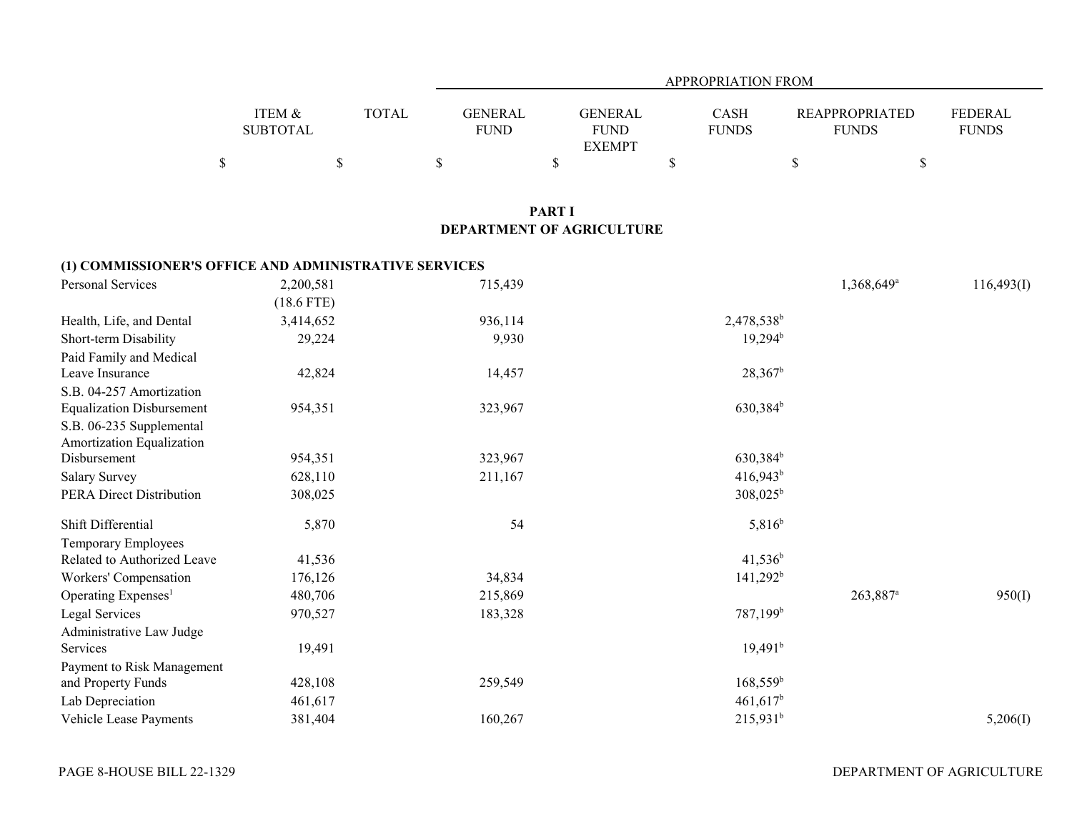|                                                       |                           |              |                               |                                                | <b>APPROPRIATION FROM</b> |                                       |                                |
|-------------------------------------------------------|---------------------------|--------------|-------------------------------|------------------------------------------------|---------------------------|---------------------------------------|--------------------------------|
|                                                       | ITEM &<br><b>SUBTOTAL</b> | <b>TOTAL</b> | <b>GENERAL</b><br><b>FUND</b> | <b>GENERAL</b><br><b>FUND</b><br><b>EXEMPT</b> | CASH<br><b>FUNDS</b>      | <b>REAPPROPRIATED</b><br><b>FUNDS</b> | <b>FEDERAL</b><br><b>FUNDS</b> |
| $\mathbb S$                                           |                           | $\$$         | \$                            | \$                                             | \$                        | \$                                    | \$                             |
|                                                       |                           |              |                               |                                                |                           |                                       |                                |
|                                                       |                           |              |                               | <b>PART I</b><br>DEPARTMENT OF AGRICULTURE     |                           |                                       |                                |
|                                                       |                           |              |                               |                                                |                           |                                       |                                |
| (1) COMMISSIONER'S OFFICE AND ADMINISTRATIVE SERVICES |                           |              |                               |                                                |                           |                                       |                                |
| Personal Services                                     | 2,200,581                 |              | 715,439                       |                                                |                           | 1,368,649 <sup>a</sup>                | 116,493(I)                     |
|                                                       | $(18.6$ FTE)              |              |                               |                                                |                           |                                       |                                |
| Health, Life, and Dental                              | 3,414,652                 |              | 936,114                       |                                                | 2,478,538 <sup>b</sup>    |                                       |                                |
| Short-term Disability                                 | 29,224                    |              | 9,930                         |                                                | $19,294^{\rm b}$          |                                       |                                |
| Paid Family and Medical                               |                           |              |                               |                                                |                           |                                       |                                |
| Leave Insurance                                       | 42,824                    |              | 14,457                        |                                                | $28,367^b$                |                                       |                                |
| S.B. 04-257 Amortization                              |                           |              |                               |                                                |                           |                                       |                                |
| <b>Equalization Disbursement</b>                      | 954,351                   |              | 323,967                       |                                                | 630,384 <sup>b</sup>      |                                       |                                |
| S.B. 06-235 Supplemental                              |                           |              |                               |                                                |                           |                                       |                                |
| Amortization Equalization                             |                           |              |                               |                                                |                           |                                       |                                |
| Disbursement                                          | 954,351                   |              | 323,967                       |                                                | 630,384 <sup>b</sup>      |                                       |                                |
| <b>Salary Survey</b>                                  | 628,110                   |              | 211,167                       |                                                | $416,943$ <sup>b</sup>    |                                       |                                |
| PERA Direct Distribution                              | 308,025                   |              |                               |                                                | $308,025^{\rm b}$         |                                       |                                |
| Shift Differential                                    | 5,870                     |              | 54                            |                                                | $5,816^{b}$               |                                       |                                |
| <b>Temporary Employees</b>                            |                           |              |                               |                                                |                           |                                       |                                |
| Related to Authorized Leave                           | 41,536                    |              |                               |                                                | $41,536^b$                |                                       |                                |
| Workers' Compensation                                 | 176,126                   |              | 34,834                        |                                                | $141,292^b$               |                                       |                                |
| Operating Expenses <sup>1</sup>                       | 480,706                   |              | 215,869                       |                                                |                           | 263,887 <sup>a</sup>                  | 950(I)                         |
| Legal Services                                        | 970,527                   |              | 183,328                       |                                                | 787,199 <sup>b</sup>      |                                       |                                |
| Administrative Law Judge                              |                           |              |                               |                                                |                           |                                       |                                |
| Services                                              | 19,491                    |              |                               |                                                | 19,491 <sup>b</sup>       |                                       |                                |
| Payment to Risk Management                            |                           |              |                               |                                                |                           |                                       |                                |
| and Property Funds                                    | 428,108                   |              | 259,549                       |                                                | $168,559^b$               |                                       |                                |
| Lab Depreciation                                      | 461,617                   |              |                               |                                                | $461,617$ <sup>b</sup>    |                                       |                                |
| Vehicle Lease Payments                                | 381,404                   |              | 160,267                       |                                                | $215,931^b$               |                                       | 5,206(I)                       |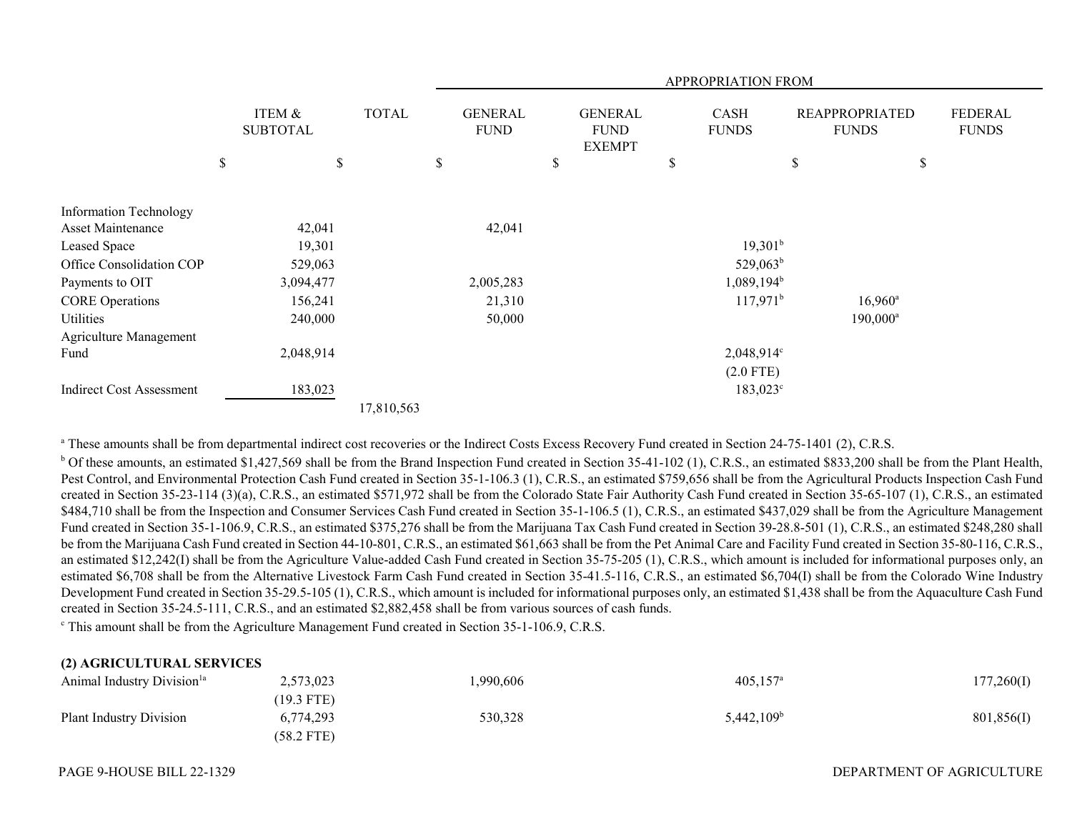|                                                    |                           |              |                                     |    |                                                | APPROPRIATION FROM   |      |                                       |                                |
|----------------------------------------------------|---------------------------|--------------|-------------------------------------|----|------------------------------------------------|----------------------|------|---------------------------------------|--------------------------------|
|                                                    | ITEM &<br><b>SUBTOTAL</b> | <b>TOTAL</b> | <b>GENERAL</b><br><b>FUND</b>       |    | <b>GENERAL</b><br><b>FUND</b><br><b>EXEMPT</b> | CASH<br><b>FUNDS</b> |      | <b>REAPPROPRIATED</b><br><b>FUNDS</b> | <b>FEDERAL</b><br><b>FUNDS</b> |
|                                                    | \$<br>\$                  |              | \$                                  | \$ |                                                | \$                   | $\$$ |                                       | \$                             |
| <b>Information Technology</b><br>Asset Maintenance | 42,041                    |              | 42,041                              |    |                                                |                      |      |                                       |                                |
| Leased Space                                       | 19,301                    |              |                                     |    |                                                | $19,301^b$           |      |                                       |                                |
| Office Consolidation COP                           | 529,063                   |              | $529,063^b$                         |    |                                                |                      |      |                                       |                                |
| Payments to OIT                                    | 3,094,477                 |              | 1,089,194 <sup>b</sup><br>2,005,283 |    |                                                |                      |      |                                       |                                |
| <b>CORE Operations</b>                             | 156,241                   |              | 21,310                              |    |                                                | $117,971^b$          |      | $16,960^{\circ}$                      |                                |
| Utilities                                          | 240,000                   |              | 50,000                              |    |                                                |                      |      | $190,000^a$                           |                                |
| Agriculture Management                             |                           |              |                                     |    |                                                |                      |      |                                       |                                |
| Fund                                               | 2,048,914                 |              |                                     |    |                                                | $2,048,914^{\circ}$  |      |                                       |                                |
|                                                    |                           |              |                                     |    |                                                | $(2.0$ FTE)          |      |                                       |                                |
| <b>Indirect Cost Assessment</b>                    | 183,023                   |              |                                     |    |                                                | $183,023^{\circ}$    |      |                                       |                                |
|                                                    |                           | 17,810,563   |                                     |    |                                                |                      |      |                                       |                                |

<sup>a</sup> These amounts shall be from departmental indirect cost recoveries or the Indirect Costs Excess Recovery Fund created in Section 24-75-1401 (2), C.R.S.

<sup>b</sup> Of these amounts, an estimated \$1,427,569 shall be from the Brand Inspection Fund created in Section 35-41-102 (1), C.R.S., an estimated \$833,200 shall be from the Plant Health, Pest Control, and Environmental Protection Cash Fund created in Section 35-1-106.3 (1), C.R.S., an estimated \$759,656 shall be from the Agricultural Products Inspection Cash Fund created in Section 35-23-114 (3)(a), C.R.S., an estimated \$571,972 shall be from the Colorado State Fair Authority Cash Fund created in Section 35-65-107 (1), C.R.S., an estimated \$484,710 shall be from the Inspection and Consumer Services Cash Fund created in Section 35-1-106.5 (1), C.R.S., an estimated \$437,029 shall be from the Agriculture Management Fund created in Section 35-1-106.9, C.R.S., an estimated \$375,276 shall be from the Marijuana Tax Cash Fund created in Section 39-28.8-501 (1), C.R.S., an estimated \$248,280 shall be from the Marijuana Cash Fund created in Section 44-10-801, C.R.S., an estimated \$61,663 shall be from the Pet Animal Care and Facility Fund created in Section 35-80-116, C.R.S., an estimated \$12,242(I) shall be from the Agriculture Value-added Cash Fund created in Section 35-75-205 (1), C.R.S., which amount is included for informational purposes only, an estimated \$6,708 shall be from the Alternative Livestock Farm Cash Fund created in Section 35-41.5-116, C.R.S., an estimated \$6,704(I) shall be from the Colorado Wine Industry Development Fund created in Section 35-29.5-105 (1), C.R.S., which amount is included for informational purposes only, an estimated \$1,438 shall be from the Aquaculture Cash Fund created in Section 35-24.5-111, C.R.S., and an estimated \$2,882,458 shall be from various sources of cash funds.

c This amount shall be from the Agriculture Management Fund created in Section 35-1-106.9, C.R.S.

## **(2) AGRICULTURAL SERVICES**

| Animal Industry Division <sup>1a</sup> | 2,573,023    | ,990,606 | $405,157$ <sup>a</sup> | 177,260(I) |
|----------------------------------------|--------------|----------|------------------------|------------|
|                                        | $(19.3$ FTE) |          |                        |            |
| Plant Industry Division                | 6,774,293    | 530,328  | 5,442,109 <sup>b</sup> | 801,856(I) |
|                                        | $(58.2$ FTE) |          |                        |            |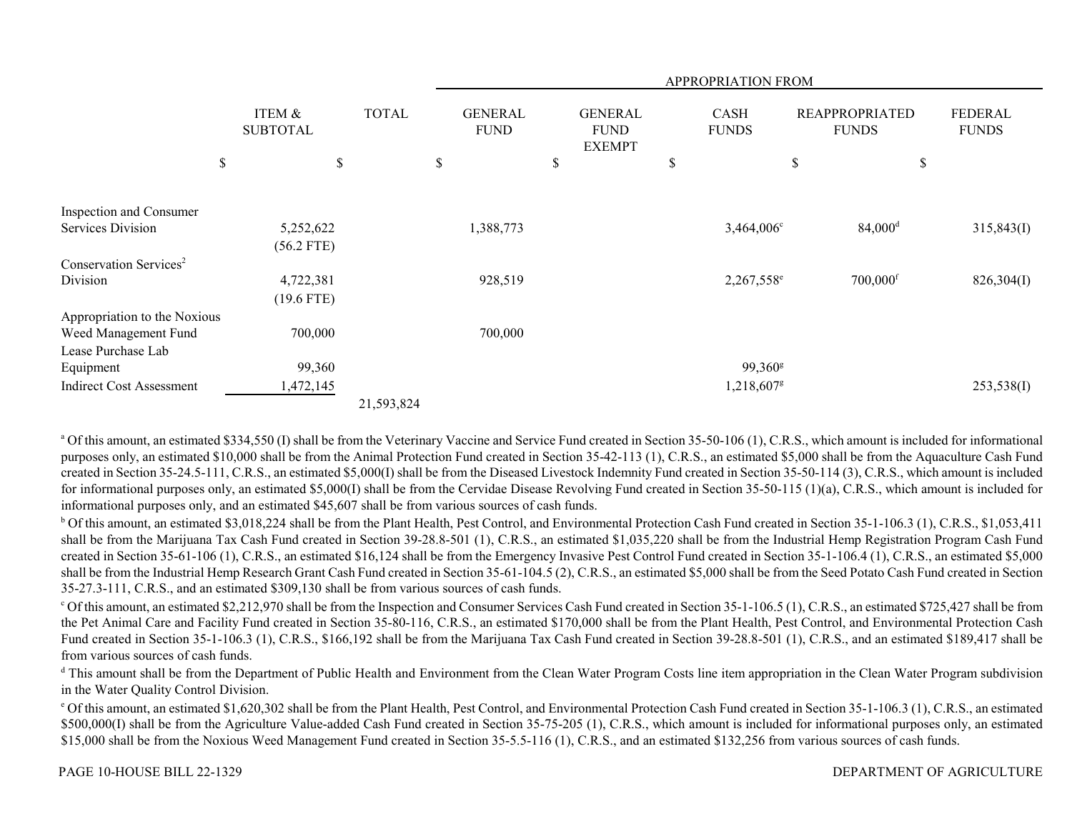|                                    |                           |              | APPROPRIATION FROM            |                                                |                             |                                       |                                |  |
|------------------------------------|---------------------------|--------------|-------------------------------|------------------------------------------------|-----------------------------|---------------------------------------|--------------------------------|--|
|                                    | ITEM &<br><b>SUBTOTAL</b> | <b>TOTAL</b> | <b>GENERAL</b><br><b>FUND</b> | <b>GENERAL</b><br><b>FUND</b><br><b>EXEMPT</b> | <b>CASH</b><br><b>FUNDS</b> | <b>REAPPROPRIATED</b><br><b>FUNDS</b> | <b>FEDERAL</b><br><b>FUNDS</b> |  |
| \$                                 | $\mathbb S$               |              | \$                            | \$                                             | \$                          | \$                                    | \$                             |  |
| Inspection and Consumer            |                           |              |                               |                                                |                             |                                       |                                |  |
| Services Division                  | 5,252,622                 |              | 1,388,773                     |                                                | $3,464,006^{\circ}$         | $84,000$ <sup>d</sup>                 | 315,843(I)                     |  |
|                                    | $(56.2$ FTE)              |              |                               |                                                |                             |                                       |                                |  |
| Conservation Services <sup>2</sup> |                           |              |                               |                                                |                             |                                       |                                |  |
| Division                           | 4,722,381                 |              | 928,519                       |                                                | 2,267,558 <sup>e</sup>      | $700,000$ <sup>f</sup>                | 826,304(I)                     |  |
|                                    | $(19.6$ FTE)              |              |                               |                                                |                             |                                       |                                |  |
| Appropriation to the Noxious       |                           |              |                               |                                                |                             |                                       |                                |  |
| Weed Management Fund               | 700,000                   |              | 700,000                       |                                                |                             |                                       |                                |  |
| Lease Purchase Lab                 |                           |              |                               |                                                |                             |                                       |                                |  |
| Equipment                          | 99,360                    |              |                               |                                                | 99,360 <sup>g</sup>         |                                       |                                |  |
| <b>Indirect Cost Assessment</b>    | 1,472,145                 |              |                               |                                                | 1,218,607 <sup>g</sup>      |                                       | 253,538(I)                     |  |
|                                    |                           | 21,593,824   |                               |                                                |                             |                                       |                                |  |

<sup>a</sup> Of this amount, an estimated \$334,550 (I) shall be from the Veterinary Vaccine and Service Fund created in Section 35-50-106 (1), C.R.S., which amount is included for informational purposes only, an estimated \$10,000 shall be from the Animal Protection Fund created in Section 35-42-113 (1), C.R.S., an estimated \$5,000 shall be from the Aquaculture Cash Fund created in Section 35-24.5-111, C.R.S., an estimated \$5,000(I) shall be from the Diseased Livestock Indemnity Fund created in Section 35-50-114 (3), C.R.S., which amount is included for informational purposes only, an estimated \$5,000(I) shall be from the Cervidae Disease Revolving Fund created in Section 35-50-115 (1)(a), C.R.S., which amount is included for informational purposes only, and an estimated \$45,607 shall be from various sources of cash funds.

b Of this amount, an estimated \$3,018,224 shall be from the Plant Health, Pest Control, and Environmental Protection Cash Fund created in Section 35-1-106.3 (1), C.R.S., \$1,053,411 shall be from the Marijuana Tax Cash Fund created in Section 39-28.8-501 (1), C.R.S., an estimated \$1,035,220 shall be from the Industrial Hemp Registration Program Cash Fund created in Section 35-61-106 (1), C.R.S., an estimated \$16,124 shall be from the Emergency Invasive Pest Control Fund created in Section 35-1-106.4 (1), C.R.S., an estimated \$5,000 shall be from the Industrial Hemp Research Grant Cash Fund created in Section 35-61-104.5 (2), C.R.S., an estimated \$5,000 shall be from the Seed Potato Cash Fund created in Section 35-27.3-111, C.R.S., and an estimated \$309,130 shall be from various sources of cash funds.

c Of this amount, an estimated \$2,212,970 shall be from the Inspection and Consumer Services Cash Fund created in Section 35-1-106.5 (1), C.R.S., an estimated \$725,427 shall be from the Pet Animal Care and Facility Fund created in Section 35-80-116, C.R.S., an estimated \$170,000 shall be from the Plant Health, Pest Control, and Environmental Protection Cash Fund created in Section 35-1-106.3 (1), C.R.S., \$166,192 shall be from the Marijuana Tax Cash Fund created in Section 39-28.8-501 (1), C.R.S., and an estimated \$189,417 shall be from various sources of cash funds.

<sup>d</sup> This amount shall be from the Department of Public Health and Environment from the Clean Water Program Costs line item appropriation in the Clean Water Program subdivision in the Water Quality Control Division.

e Of this amount, an estimated \$1,620,302 shall be from the Plant Health, Pest Control, and Environmental Protection Cash Fund created in Section 35-1-106.3 (1), C.R.S., an estimated \$500,000(I) shall be from the Agriculture Value-added Cash Fund created in Section 35-75-205 (1), C.R.S., which amount is included for informational purposes only, an estimated \$15,000 shall be from the Noxious Weed Management Fund created in Section 35-5.5-116 (1), C.R.S., and an estimated \$132,256 from various sources of cash funds.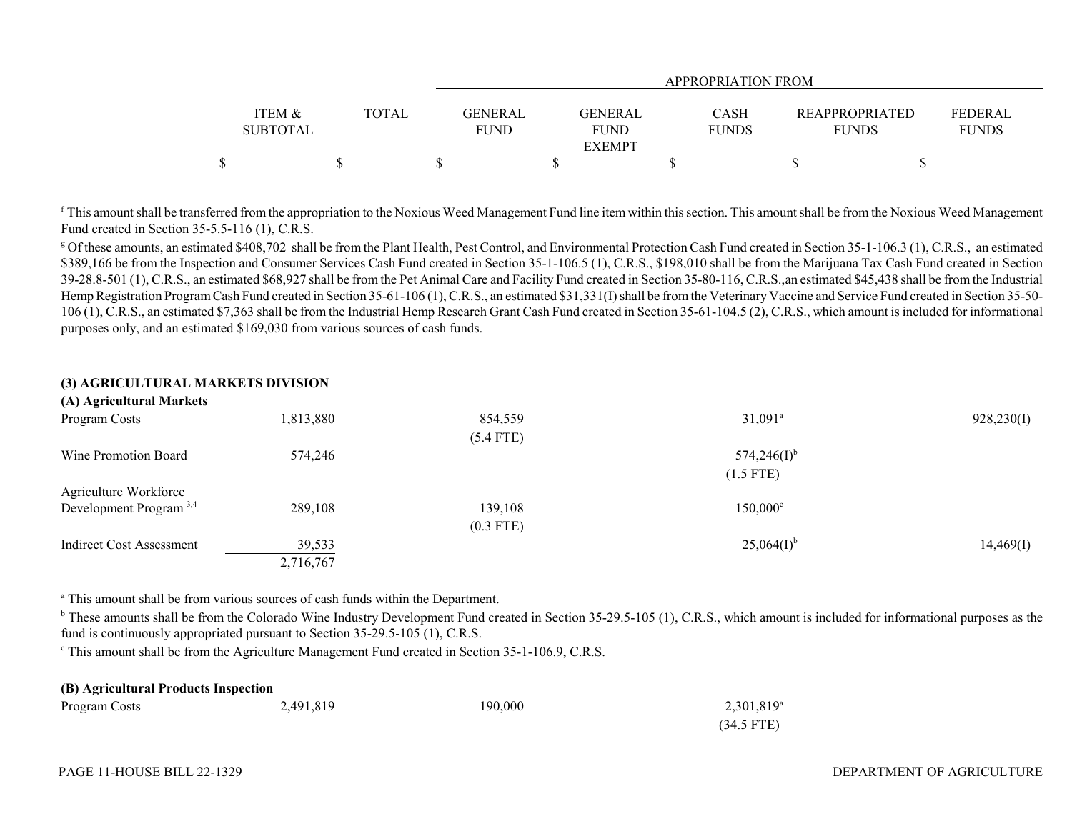|                   |              |             | <b>APPROPRIATION FROM</b> |              |                       |              |  |  |  |  |  |
|-------------------|--------------|-------------|---------------------------|--------------|-----------------------|--------------|--|--|--|--|--|
|                   |              |             |                           |              |                       |              |  |  |  |  |  |
| <b>ITEM &amp;</b> | <b>TOTAL</b> | GENERAL     | <b>GENERAL</b>            | <b>CASH</b>  | <b>REAPPROPRIATED</b> | FEDERAL      |  |  |  |  |  |
| <b>SUBTOTAL</b>   |              | <b>FUND</b> | <b>FUND</b>               | <b>FUNDS</b> | <b>FUNDS</b>          | <b>FUNDS</b> |  |  |  |  |  |
|                   |              |             | <b>EXEMPT</b>             |              |                       |              |  |  |  |  |  |
| ጦ                 |              |             |                           |              |                       |              |  |  |  |  |  |

 $f$  This amount shall be transferred from the appropriation to the Noxious Weed Management Fund line item within this section. This amount shall be from the Noxious Weed Management Fund created in Section 35-5.5-116 (1), C.R.S.

<sup>g</sup> Of these amounts, an estimated \$408,702 shall be from the Plant Health, Pest Control, and Environmental Protection Cash Fund created in Section 35-1-106.3 (1), C.R.S., an estimated \$389,166 be from the Inspection and Consumer Services Cash Fund created in Section 35-1-106.5 (1), C.R.S., \$198,010 shall be from the Marijuana Tax Cash Fund created in Section 39-28.8-501 (1), C.R.S., an estimated \$68,927 shall be from the Pet Animal Care and Facility Fund created in Section 35-80-116, C.R.S.,an estimated \$45,438 shall be from the Industrial Hemp Registration Program Cash Fund created in Section 35-61-106 (1), C.R.S., an estimated \$31,331(I) shall be from the Veterinary Vaccine and Service Fund created in Section 35-50- 106 (1), C.R.S., an estimated \$7,363 shall be from the Industrial Hemp Research Grant Cash Fund created in Section 35-61-104.5 (2), C.R.S., which amount is included for informational purposes only, and an estimated \$169,030 from various sources of cash funds.

| (3) AGRICULTURAL MARKETS DIVISION  |           |             |                       |            |
|------------------------------------|-----------|-------------|-----------------------|------------|
| (A) Agricultural Markets           |           |             |                       |            |
| Program Costs                      | 1,813,880 | 854,559     | $31,091$ <sup>a</sup> | 928,230(I) |
|                                    |           | $(5.4$ FTE) |                       |            |
| Wine Promotion Board               | 574,246   |             | $574,246(I)^{b}$      |            |
|                                    |           |             | $(1.5$ FTE)           |            |
| Agriculture Workforce              |           |             |                       |            |
| Development Program <sup>3,4</sup> | 289,108   | 139,108     | $150,000^{\circ}$     |            |
|                                    |           | $(0.3$ FTE) |                       |            |
| Indirect Cost Assessment           | 39,533    |             | $25,064(I)^{b}$       | 14,469(I)  |
|                                    | 2,716,767 |             |                       |            |
|                                    |           |             |                       |            |

<sup>a</sup> This amount shall be from various sources of cash funds within the Department.

<sup>b</sup> These amounts shall be from the Colorado Wine Industry Development Fund created in Section 35-29.5-105 (1), C.R.S., which amount is included for informational purposes as the fund is continuously appropriated pursuant to Section 35-29.5-105 (1), C.R.S.

c This amount shall be from the Agriculture Management Fund created in Section 35-1-106.9, C.R.S.

| (B) Agricultural Products Inspection |           |         |               |  |  |  |  |  |
|--------------------------------------|-----------|---------|---------------|--|--|--|--|--|
| Program Costs                        | 2,491,819 | 190.000 | $2,301,819^a$ |  |  |  |  |  |
|                                      |           |         | $(34.5$ FTE)  |  |  |  |  |  |

## PAGE 11-HOUSE BILL 22-1329

## DEPARTMENT OF AGRICULTURE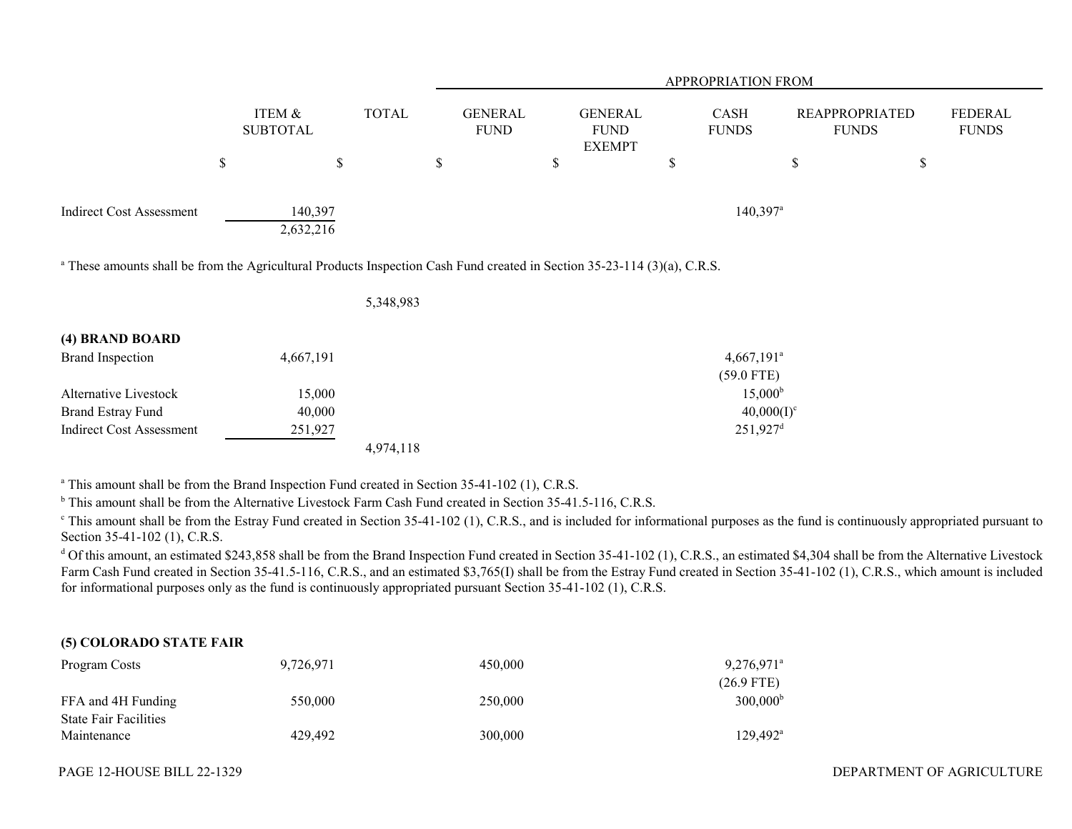|                                                                                                                                     |      |                           |              | <b>APPROPRIATION FROM</b>     |                                                |                                          |    |                                       |                                |  |  |
|-------------------------------------------------------------------------------------------------------------------------------------|------|---------------------------|--------------|-------------------------------|------------------------------------------------|------------------------------------------|----|---------------------------------------|--------------------------------|--|--|
|                                                                                                                                     |      | ITEM &<br><b>SUBTOTAL</b> | <b>TOTAL</b> | <b>GENERAL</b><br><b>FUND</b> | <b>GENERAL</b><br><b>FUND</b><br><b>EXEMPT</b> | CASH<br><b>FUNDS</b>                     |    | <b>REAPPROPRIATED</b><br><b>FUNDS</b> | <b>FEDERAL</b><br><b>FUNDS</b> |  |  |
|                                                                                                                                     | $\$$ | \$                        |              | \$                            | \$                                             | \$                                       | \$ | \$                                    |                                |  |  |
| <b>Indirect Cost Assessment</b>                                                                                                     |      | 140,397<br>2,632,216      |              |                               |                                                | $140,397$ <sup>a</sup>                   |    |                                       |                                |  |  |
| <sup>a</sup> These amounts shall be from the Agricultural Products Inspection Cash Fund created in Section 35-23-114 (3)(a), C.R.S. |      |                           |              |                               |                                                |                                          |    |                                       |                                |  |  |
|                                                                                                                                     |      |                           | 5,348,983    |                               |                                                |                                          |    |                                       |                                |  |  |
| (4) BRAND BOARD                                                                                                                     |      |                           |              |                               |                                                |                                          |    |                                       |                                |  |  |
| <b>Brand Inspection</b>                                                                                                             |      | 4,667,191                 |              |                               |                                                | $4,667,191$ <sup>a</sup><br>$(59.0$ FTE) |    |                                       |                                |  |  |
| Alternative Livestock                                                                                                               |      | 15,000                    |              |                               |                                                | 15,000 <sup>b</sup>                      |    |                                       |                                |  |  |

Indirect Cost Assessment 251,927 251,927 251,927 251,927 251,927 251,927 251,927 251,927 251,927 251,927 251,927 251,927 251,927 251,927 251,927 251,927 251,927 251,927 251,927 251,927 251,927 251,927 251,927 251,927 251, 4,974,118

Brand Estray Fund  $40,000$  40000 40000 40000 40000 40000 40000 40000 40000 40000 4000 4000 4000 4000 4000 4000 4000 4000 4000 4000 4000 4000 4000 4000 400 400 400 400 400 400 400 400 400 400 400 400 400 400 400 400 400 400

<sup>a</sup> This amount shall be from the Brand Inspection Fund created in Section 35-41-102 (1), C.R.S.

<sup>b</sup> This amount shall be from the Alternative Livestock Farm Cash Fund created in Section 35-41.5-116, C.R.S.

<sup>c</sup> This amount shall be from the Estray Fund created in Section 35-41-102 (1), C.R.S., and is included for informational purposes as the fund is continuously appropriated pursuant to Section 35-41-102 (1), C.R.S.

<sup>d</sup> Of this amount, an estimated \$243,858 shall be from the Brand Inspection Fund created in Section 35-41-102 (1), C.R.S., an estimated \$4,304 shall be from the Alternative Livestock Farm Cash Fund created in Section 35-41.5-116, C.R.S., and an estimated \$3,765(I) shall be from the Estray Fund created in Section 35-41-102 (1), C.R.S., which amount is included for informational purposes only as the fund is continuously appropriated pursuant Section 35-41-102 (1), C.R.S.

## **(5) COLORADO STATE FAIR**

| Program Costs                | 9.726.971 | 450,000 | $9.276.971$ <sup>a</sup> |
|------------------------------|-----------|---------|--------------------------|
|                              |           |         | $(26.9$ FTE)             |
| FFA and 4H Funding           | 550,000   | 250,000 | $300,000^{\circ}$        |
| <b>State Fair Facilities</b> |           |         |                          |
| Maintenance                  | 429,492   | 300,000 | $129.492^{\text{a}}$     |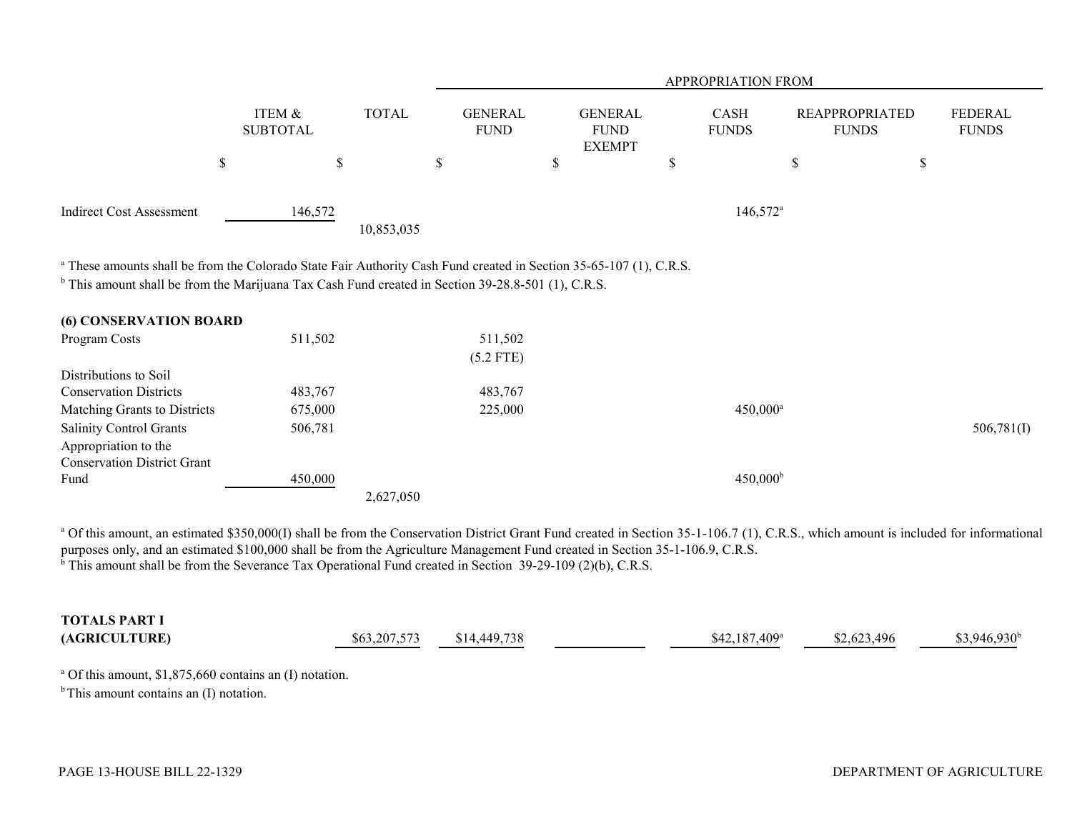|                                                                                                                                                                                                                                       |                           |              |                               |                                                | APPROPRIATION FROM   |                                       |             |                         |
|---------------------------------------------------------------------------------------------------------------------------------------------------------------------------------------------------------------------------------------|---------------------------|--------------|-------------------------------|------------------------------------------------|----------------------|---------------------------------------|-------------|-------------------------|
|                                                                                                                                                                                                                                       | ITEM &<br><b>SUBTOTAL</b> | <b>TOTAL</b> | <b>GENERAL</b><br><b>FUND</b> | <b>GENERAL</b><br><b>FUND</b><br><b>EXEMPT</b> | CASH<br><b>FUNDS</b> | <b>REAPPROPRIATED</b><br><b>FUNDS</b> |             | FEDERAL<br><b>FUNDS</b> |
|                                                                                                                                                                                                                                       | \$                        | \$           | \$<br>\$                      |                                                | \$                   | \$                                    | $\mathbb S$ |                         |
| <b>Indirect Cost Assessment</b>                                                                                                                                                                                                       | 146,572                   | 10,853,035   |                               |                                                | $146,572^{\circ}$    |                                       |             |                         |
| <sup>a</sup> These amounts shall be from the Colorado State Fair Authority Cash Fund created in Section 35-65-107 (1), C.R.S.<br>$b$ This amount shall be from the Marijuana Tax Cash Fund created in Section 39-28.8-501 (1), C.R.S. |                           |              |                               |                                                |                      |                                       |             |                         |
| <b>(6) CONSERVATION BOARD</b>                                                                                                                                                                                                         |                           |              |                               |                                                |                      |                                       |             |                         |
| Program Costs                                                                                                                                                                                                                         | 511,502                   |              | 511,502<br>$(5.2$ FTE)        |                                                |                      |                                       |             |                         |
| Distributions to Soil                                                                                                                                                                                                                 |                           |              |                               |                                                |                      |                                       |             |                         |
| <b>Conservation Districts</b>                                                                                                                                                                                                         | 483,767                   |              | 483,767                       |                                                |                      |                                       |             |                         |
| Matching Grants to Districts                                                                                                                                                                                                          | 675,000                   |              | 225,000                       |                                                | $450,000^{\circ}$    |                                       |             |                         |
| <b>Salinity Control Grants</b>                                                                                                                                                                                                        | 506,781                   |              |                               |                                                |                      |                                       |             | 506,781(I)              |
| Appropriation to the                                                                                                                                                                                                                  |                           |              |                               |                                                |                      |                                       |             |                         |
| <b>Conservation District Grant</b>                                                                                                                                                                                                    |                           |              |                               |                                                |                      |                                       |             |                         |
| Fund                                                                                                                                                                                                                                  | 450,000                   |              |                               |                                                | $450,000^{\rm b}$    |                                       |             |                         |
|                                                                                                                                                                                                                                       |                           | 2,627,050    |                               |                                                |                      |                                       |             |                         |

<sup>a</sup> Of this amount, an estimated \$350,000(I) shall be from the Conservation District Grant Fund created in Section 35-1-106.7 (1), C.R.S., which amount is included for informational purposes only, and an estimated \$100,000 shall be from the Agriculture Management Fund created in Section 35-1-106.9, C.R.S.  $\overrightarrow{b}$  This amount shall be from the Severance Tax Operational Fund created in Section 39-29-109 (2)(b), C.R.S.

| <b>TOTALS PART I</b> |              |                            |                            |           |                     |
|----------------------|--------------|----------------------------|----------------------------|-----------|---------------------|
| (AGRICULTURE)        | \$63,207,573 | ,449,738<br>I 17<br>$\sim$ | $$42.187.409$ <sup>a</sup> | . 623.496 | $8.946.930^{\circ}$ |

<sup>a</sup> Of this amount,  $$1,875,660$  contains an (I) notation.

 $<sup>b</sup>$  This amount contains an (I) notation.</sup>